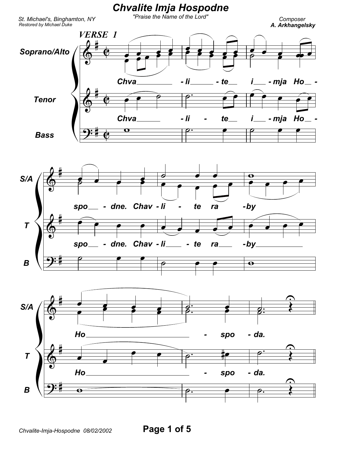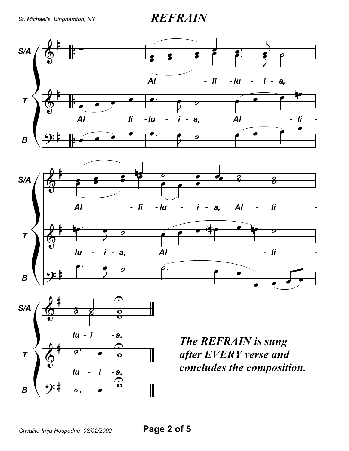St. Michael's, Binghamton, NY

**REFRAIN** 

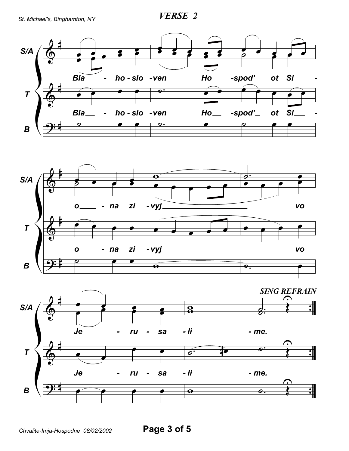**VERSE 2** 





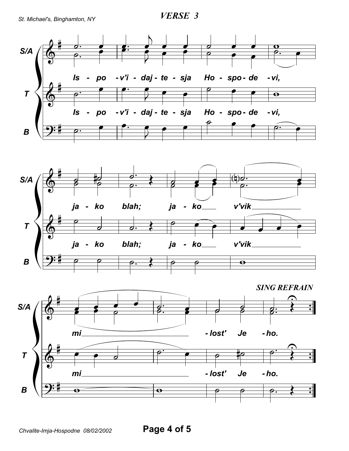*VERSE 3*